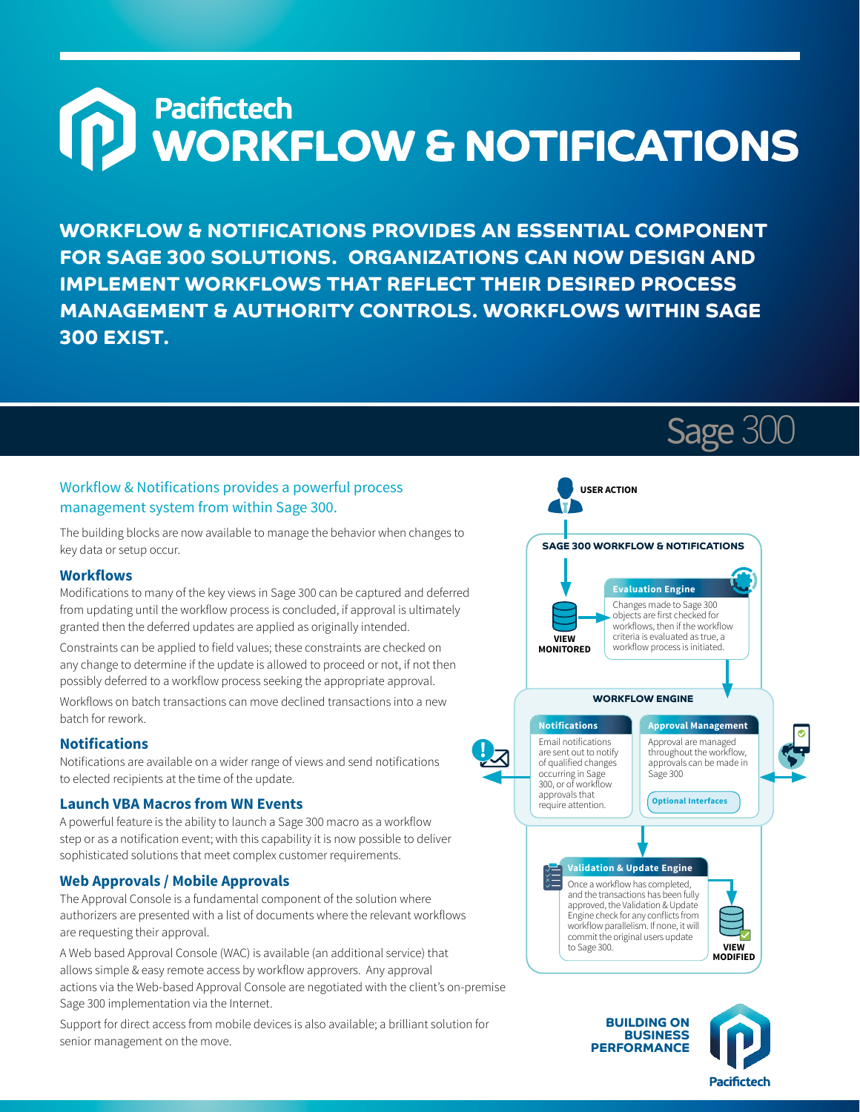# **D**<br>
WORKFLOW & NOTIFICATIONS

**WORKFLOW & NOTIFICATIONS PROVIDES AN ESSENTIAL COMPONENT FOR SAGE 300 SOLUTIONS. ORGANIZATIONS CAN NOW DESIGN AND IMPLEMENT WORKFLOWS THAT REFLECT THEIR DESIRED PROCESS MANAGEMENT & AUTHORITY CONTROLS. WORKFLOWS WITHIN SAGE 300 EXIST.**

# Workflow & Notifications provides a powerful process management system from within Sage 300.

The building blocks are now available to manage the behavior when changes to key data or setup occur.

### **Workflows**

Modifications to many of the key views in Sage 300 can be captured and deferred from updating until the workflow process is concluded, if approval is ultimately granted then the deferred updates are applied as originally intended.

Constraints can be applied to field values; these constraints are checked on any change to determine if the update is allowed to proceed or not, if not then possibly deferred to a workflow process seeking the appropriate approval.

Workflows on batch transactions can move declined transactions into a new batch for rework.

# **Notifications**

Notifications are available on a wider range of views and send notifications to elected recipients at the time of the update.

# **Launch VBA Macros from WN Events**

A powerful feature is the ability to launch a Sage 300 macro as a workflow step or as a notification event; with this capability it is now possible to deliver sophisticated solutions that meet complex customer requirements.

# **Web Approvals / Mobile Approvals**

The Approval Console is a fundamental component of the solution where authorizers are presented with a list of documents where the relevant workflows are requesting their approval.

A Web based Approval Console (WAC) is available (an additional service) that allows simple & easy remote access by workflow approvers. Any approval actions via the Web-based Approval Console are negotiated with the client's on-premise Sage 300 implementation via the Internet.

Support for direct access from mobile devices is also available; a brilliant solution for senior management on the move.



Sage 300